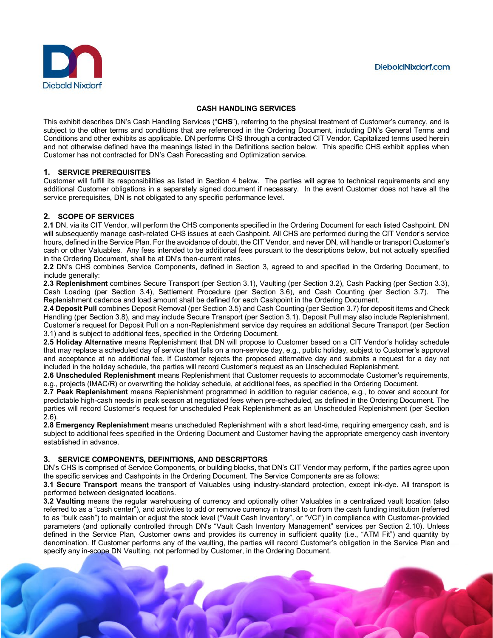

#### **CASH HANDLING SERVICES**

This exhibit describes DN's Cash Handling Services ("**CHS**"), referring to the physical treatment of Customer's currency, and is subiect to the other terms and conditions that are referenced in the Ordering Document, including DN's General Terms and Conditions and other exhibits as applicable. DN performs CHS through a contracted CIT Vendor. Capitalized terms used herein and not otherwise defined have the meanings listed in the Definitions section below. This specific CHS exhibit applies when Customer has not contracted for DN's Cash Forecasting and Optimization service.

#### **1. SERVICE PREREQUISITES**

Customer will fulfill its responsibilities as listed in Section 4 below. The parties will agree to technical requirements and any additional Customer obligations in a separately signed document if necessary. In the event Customer does not have all the service prerequisites, DN is not obligated to any specific performance level.

#### **2. SCOPE OF SERVICES**

**2.1** DN, via its CIT Vendor, will perform the CHS components specified in the Ordering Document for each listed Cashpoint. DN will subsequently manage cash-related CHS issues at each Cashpoint. All CHS are performed during the CIT Vendor's service hours, defined in the Service Plan. For the avoidance of doubt, the CIT Vendor, and never DN, will handle or transport Customer's cash or other Valuables. Any fees intended to be additional fees pursuant to the descriptions below, but not actually specified in the Ordering Document, shall be at DN's then-current rates.

**2.2** DN's CHS combines Service Components, defined in Section 3, agreed to and specified in the Ordering Document, to include generally:

**2.3 Replenishment** combines Secure Transport (per Section 3.1), Vaulting (per Section 3.2), Cash Packing (per Section 3.3), Cash Loading (per Section 3.4), Settlement Procedure (per Section 3.6), and Cash Counting (per Section 3.7). The Replenishment cadence and load amount shall be defined for each Cashpoint in the Ordering Document.

**2.4 Deposit Pull** combines Deposit Removal (per Section 3.5) and Cash Counting (per Section 3.7) for deposit items and Check Handling (per Section 3.8), and may include Secure Transport (per Section 3.1). Deposit Pull may also include Replenishment. Customer's request for Deposit Pull on a non-Replenishment service day requires an additional Secure Transport (per Section 3.1) and is subject to additional fees, specified in the Ordering Document.

**2.5 Holiday Alternative** means Replenishment that DN will propose to Customer based on a CIT Vendor's holiday schedule that may replace a scheduled day of service that falls on a non-service day, e.g., public holiday, subject to Customer's approval and acceptance at no additional fee. If Customer rejects the proposed alternative day and submits a request for a day not included in the holiday schedule, the parties will record Customer's request as an Unscheduled Replenishment.

**2.6 Unscheduled Replenishment** means Replenishment that Customer requests to accommodate Customer's requirements, e.g., projects (IMAC/R) or overwriting the holiday schedule, at additional fees, as specified in the Ordering Document.

**2.7 Peak Replenishment** means Replenishment programmed in addition to regular cadence, e.g., to cover and account for predictable high-cash needs in peak season at negotiated fees when pre-scheduled, as defined in the Ordering Document. The parties will record Customer's request for unscheduled Peak Replenishment as an Unscheduled Replenishment (per Section 2.6).

**2.8 Emergency Replenishment** means unscheduled Replenishment with a short lead-time, requiring emergency cash, and is subject to additional fees specified in the Ordering Document and Customer having the appropriate emergency cash inventory established in advance.

#### **3. SERVICE COMPONENTS, DEFINITIONS, AND DESCRIPTORS**

DN's CHS is comprised of Service Components, or building blocks, that DN's CIT Vendor may perform, if the parties agree upon the specific services and Cashpoints in the Ordering Document. The Service Components are as follows:

**3.1 Secure Transport** means the transport of Valuables using industry-standard protection, except ink-dye. All transport is performed between designated locations.

**3.2 Vaulting** means the regular warehousing of currency and optionally other Valuables in a centralized vault location (also referred to as a "cash center"), and activities to add or remove currency in transit to or from the cash funding institution (referred to as "bulk cash") to maintain or adjust the stock level ("Vault Cash Inventory", or "VCI") in compliance with Customer-provided parameters (and optionally controlled through DN's "Vault Cash Inventory Management" services per Section 2.10). Unless defined in the Service Plan, Customer owns and provides its currency in sufficient quality (i.e., "ATM Fit") and quantity by denomination. If Customer performs any of the vaulting, the parties will record Customer's obligation in the Service Plan and specify any in-scope DN Vaulting, not performed by Customer, in the Ordering Document.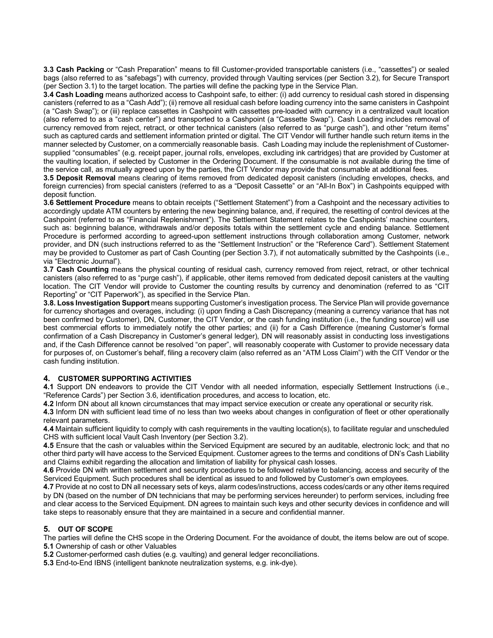**3.3 Cash Packing** or "Cash Preparation" means to fill Customer-provided transportable canisters (i.e., "cassettes") or sealed bags (also referred to as "safebags") with currency, provided through Vaulting services (per Section 3.2), for Secure Transport (per Section 3.1) to the target location. The parties will define the packing type in the Service Plan.

**3.4 Cash Loading** means authorized access to Cashpoint safe, to either: (i) add currency to residual cash stored in dispensing canisters (referred to as a "Cash Add"); (ii) remove all residual cash before loading currency into the same canisters in Cashpoint (a "Cash Swap"); or (iii) replace cassettes in Cashpoint with cassettes pre-loaded with currency in a centralized vault location (also referred to as a "cash center") and transported to a Cashpoint (a "Cassette Swap"). Cash Loading includes removal of currency removed from reject, retract, or other technical canisters (also referred to as "purge cash"), and other "return items" such as captured cards and settlement information printed or digital. The CIT Vendor will further handle such return items in the manner selected by Customer, on a commercially reasonable basis. Cash Loading may include the replenishment of Customersupplied "consumables" (e.g. receipt paper, journal rolls, envelopes, excluding ink cartridges) that are provided by Customer at the vaulting location, if selected by Customer in the Ordering Document. If the consumable is not available during the time of the service call, as mutually agreed upon by the parties, the CIT Vendor may provide that consumable at additional fees.

**3.5 Deposit Removal** means clearing of items removed from dedicated deposit canisters (including envelopes, checks, and foreign currencies) from special canisters (referred to as a "Deposit Cassette" or an "All-In Box") in Cashpoints equipped with deposit function.

**3.6 Settlement Procedure** means to obtain receipts ("Settlement Statement") from a Cashpoint and the necessary activities to accordingly update ATM counters by entering the new beginning balance, and, if required, the resetting of control devices at the Cashpoint (referred to as "Financial Replenishment"). The Settlement Statement relates to the Cashpoints' machine counters, such as: beginning balance, withdrawals and/or deposits totals within the settlement cycle and ending balance. Settlement Procedure is performed according to agreed-upon settlement instructions through collaboration among Customer, network provider, and DN (such instructions referred to as the "Settlement Instruction" or the "Reference Card"). Settlement Statement may be provided to Customer as part of Cash Counting (per Section 3.7), if not automatically submitted by the Cashpoints (i.e., via "Electronic Journal").

**3.7 Cash Counting** means the physical counting of residual cash, currency removed from reject, retract, or other technical canisters (also referred to as "purge cash"), if applicable, other items removed from dedicated deposit canisters at the vaulting location. The CIT Vendor will provide to Customer the counting results by currency and denomination (referred to as "CIT Reporting" or "CIT Paperwork"), as specified in the Service Plan.

**3.8. Loss Investigation Support** means supporting Customer's investigation process. The Service Plan will provide governance for currency shortages and overages, including: (i) upon finding a Cash Discrepancy (meaning a currency variance that has not been confirmed by Customer), DN, Customer, the CIT Vendor, or the cash funding institution (i.e., the funding source) will use best commercial efforts to immediately notify the other parties; and (ii) for a Cash Difference (meaning Customer's formal confirmation of a Cash Discrepancy in Customer's general ledger), DN will reasonably assist in conducting loss investigations and, if the Cash Difference cannot be resolved "on paper", will reasonably cooperate with Customer to provide necessary data for purposes of, on Customer's behalf, filing a recovery claim (also referred as an "ATM Loss Claim") with the CIT Vendor or the cash funding institution.

# **4. CUSTOMER SUPPORTING ACTIVITIES**

**4.1** Support DN endeavors to provide the CIT Vendor with all needed information, especially Settlement Instructions (i.e., "Reference Cards") per Section 3.6, identification procedures, and access to location, etc.

**4.2** Inform DN about all known circumstances that may impact service execution or create any operational or security risk.

**4.3** Inform DN with sufficient lead time of no less than two weeks about changes in configuration of fleet or other operationally relevant parameters.

**4.4** Maintain sufficient liquidity to comply with cash requirements in the vaulting location(s), to facilitate regular and unscheduled CHS with sufficient local Vault Cash Inventory (per Section 3.2).

**4.5** Ensure that the cash or valuables within the Serviced Equipment are secured by an auditable, electronic lock; and that no other third party will have access to the Serviced Equipment. Customer agrees to the terms and conditions of DN's Cash Liability and Claims exhibit regarding the allocation and limitation of liability for physical cash losses.

**4.6** Provide DN with written settlement and security procedures to be followed relative to balancing, access and security of the Serviced Equipment. Such procedures shall be identical as issued to and followed by Customer's own employees.

**4.7** Provide at no cost to DN all necessary sets of keys, alarm codes/instructions, access codes/cards or any other items required by DN (based on the number of DN technicians that may be performing services hereunder) to perform services, including free and clear access to the Serviced Equipment. DN agrees to maintain such keys and other security devices in confidence and will take steps to reasonably ensure that they are maintained in a secure and confidential manner.

# **5. OUT OF SCOPE**

The parties will define the CHS scope in the Ordering Document. For the avoidance of doubt, the items below are out of scope. **5.1** Ownership of cash or other Valuables

**5.2** Customer-performed cash duties (e.g. vaulting) and general ledger reconciliations.

**5.3** End-to-End IBNS (intelligent banknote neutralization systems, e.g. ink-dye).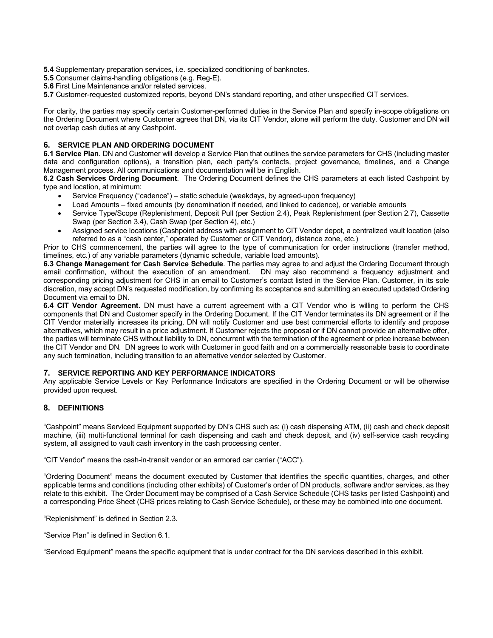- **5.4** Supplementary preparation services, i.e. specialized conditioning of banknotes.
- **5.5** Consumer claims-handling obligations (e.g. Reg-E).
- **5.6** First Line Maintenance and/or related services.
- **5.7** Customer-requested customized reports, beyond DN's standard reporting, and other unspecified CIT services.

For clarity, the parties may specify certain Customer-performed duties in the Service Plan and specify in-scope obligations on the Ordering Document where Customer agrees that DN, via its CIT Vendor, alone will perform the duty. Customer and DN will not overlap cash duties at any Cashpoint.

### **6. SERVICE PLAN AND ORDERING DOCUMENT**

**6.1 Service Plan**. DN and Customer will develop a Service Plan that outlines the service parameters for CHS (including master data and configuration options), a transition plan, each party's contacts, project governance, timelines, and a Change Management process. All communications and documentation will be in English.

**6.2 Cash Services Ordering Document**. The Ordering Document defines the CHS parameters at each listed Cashpoint by type and location, at minimum:

- Service Frequency ("cadence") static schedule (weekdays, by agreed-upon frequency)
- Load Amounts fixed amounts (by denomination if needed, and linked to cadence), or variable amounts
- Service Type/Scope (Replenishment, Deposit Pull (per Section 2.4), Peak Replenishment (per Section 2.7), Cassette Swap (per Section 3.4), Cash Swap (per Section 4), etc.)
- Assigned service locations (Cashpoint address with assignment to CIT Vendor depot, a centralized vault location (also referred to as a "cash center," operated by Customer or CIT Vendor), distance zone, etc.)

Prior to CHS commencement, the parties will agree to the type of communication for order instructions (transfer method, timelines, etc.) of any variable parameters (dynamic schedule, variable load amounts).

**6.3 Change Management for Cash Service Schedule**. The parties may agree to and adjust the Ordering Document through email confirmation, without the execution of an amendment. DN may also recommend a frequency adjustment and corresponding pricing adjustment for CHS in an email to Customer's contact listed in the Service Plan. Customer, in its sole discretion, may accept DN's requested modification, by confirming its acceptance and submitting an executed updated Ordering Document via email to DN.

**6.4 CIT Vendor Agreement**. DN must have a current agreement with a CIT Vendor who is willing to perform the CHS components that DN and Customer specify in the Ordering Document. If the CIT Vendor terminates its DN agreement or if the CIT Vendor materially increases its pricing, DN will notify Customer and use best commercial efforts to identify and propose alternatives, which may result in a price adjustment. If Customer rejects the proposal or if DN cannot provide an alternative offer, the parties will terminate CHS without liability to DN, concurrent with the termination of the agreement or price increase between the CIT Vendor and DN. DN agrees to work with Customer in good faith and on a commercially reasonable basis to coordinate any such termination, including transition to an alternative vendor selected by Customer.

# **7. SERVICE REPORTING AND KEY PERFORMANCE INDICATORS**

Any applicable Service Levels or Key Performance Indicators are specified in the Ordering Document or will be otherwise provided upon request.

# **8. DEFINITIONS**

"Cashpoint" means Serviced Equipment supported by DN's CHS such as: (i) cash dispensing ATM, (ii) cash and check deposit machine, (iii) multi-functional terminal for cash dispensing and cash and check deposit, and (iv) self-service cash recycling system, all assigned to vault cash inventory in the cash processing center.

"CIT Vendor" means the cash-in-transit vendor or an armored car carrier ("ACC").

"Ordering Document" means the document executed by Customer that identifies the specific quantities, charges, and other applicable terms and conditions (including other exhibits) of Customer's order of DN products, software and/or services, as they relate to this exhibit. The Order Document may be comprised of a Cash Service Schedule (CHS tasks per listed Cashpoint) and a corresponding Price Sheet (CHS prices relating to Cash Service Schedule), or these may be combined into one document.

"Replenishment" is defined in Section 2.3.

"Service Plan" is defined in Section 6.1.

"Serviced Equipment" means the specific equipment that is under contract for the DN services described in this exhibit.